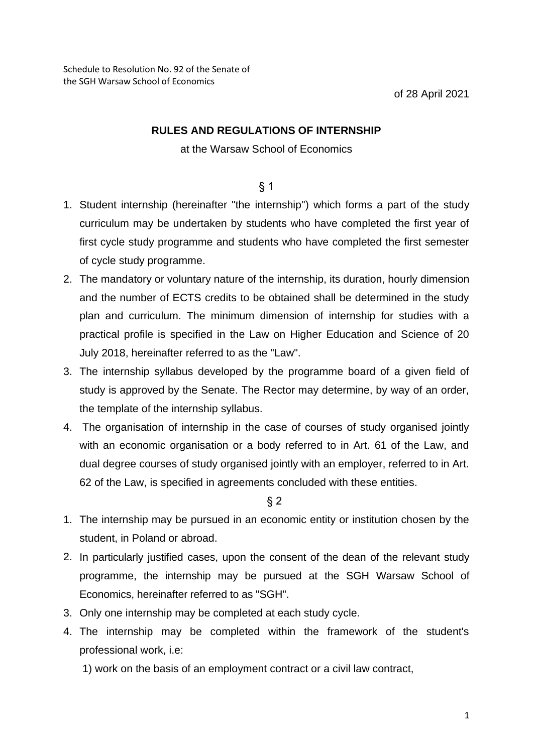## **RULES AND REGULATIONS OF INTERNSHIP**

## at the Warsaw School of Economics

## § 1

- 1. Student internship (hereinafter "the internship") which forms a part of the study curriculum may be undertaken by students who have completed the first year of first cycle study programme and students who have completed the first semester of cycle study programme.
- 2. The mandatory or voluntary nature of the internship, its duration, hourly dimension and the number of ECTS credits to be obtained shall be determined in the study plan and curriculum. The minimum dimension of internship for studies with a practical profile is specified in the Law on Higher Education and Science of 20 July 2018, hereinafter referred to as the "Law".
- 3. The internship syllabus developed by the programme board of a given field of study is approved by the Senate. The Rector may determine, by way of an order, the template of the internship syllabus.
- 4. The organisation of internship in the case of courses of study organised jointly with an economic organisation or a body referred to in Art. 61 of the Law, and dual degree courses of study organised jointly with an employer, referred to in Art. 62 of the Law, is specified in agreements concluded with these entities.

§ 2

- 1. The internship may be pursued in an economic entity or institution chosen by the student, in Poland or abroad.
- 2. In particularly justified cases, upon the consent of the dean of the relevant study programme, the internship may be pursued at the SGH Warsaw School of Economics, hereinafter referred to as "SGH".
- 3. Only one internship may be completed at each study cycle.
- 4. The internship may be completed within the framework of the student's professional work, i.e:
	- 1) work on the basis of an employment contract or a civil law contract,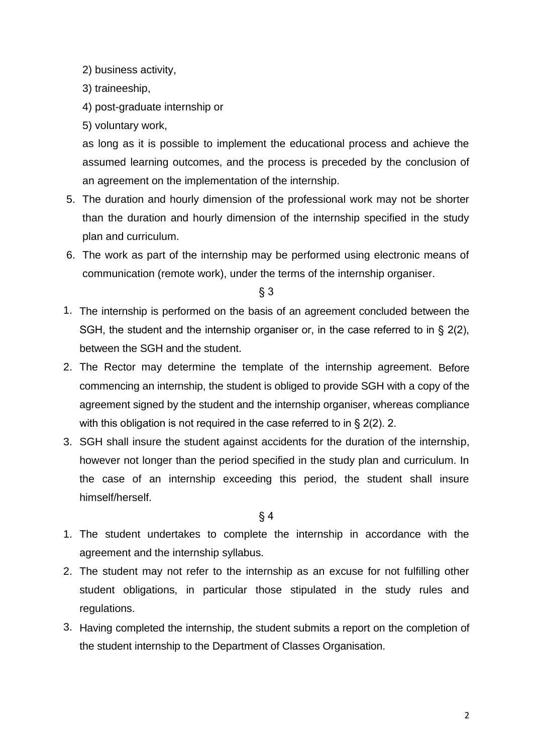- 2) business activity,
- 3) traineeship,
- 4) post-graduate internship or
- 5) voluntary work,

as long as it is possible to implement the educational process and achieve the assumed learning outcomes, and the process is preceded by the conclusion of an agreement on the implementation of the internship.

- 5. The duration and hourly dimension of the professional work may not be shorter than the duration and hourly dimension of the internship specified in the study plan and curriculum.
- 6. The work as part of the internship may be performed using electronic means of communication (remote work), under the terms of the internship organiser.

§ 3

- 1. The internship is performed on the basis of an agreement concluded between the SGH, the student and the internship organiser or, in the case referred to in § 2(2), between the SGH and the student.
- 2. The Rector may determine the template of the internship agreement. Before commencing an internship, the student is obliged to provide SGH with a copy of the agreement signed by the student and the internship organiser, whereas compliance with this obligation is not required in the case referred to in § 2(2). 2.
- 3. SGH shall insure the student against accidents for the duration of the internship, however not longer than the period specified in the study plan and curriculum. In the case of an internship exceeding this period, the student shall insure himself/herself.

## $§ 4$

- 1. The student undertakes to complete the internship in accordance with the agreement and the internship syllabus.
- 2. The student may not refer to the internship as an excuse for not fulfilling other student obligations, in particular those stipulated in the study rules and regulations.
- 3. Having completed the internship, the student submits a report on the completion of the student internship to the Department of Classes Organisation.